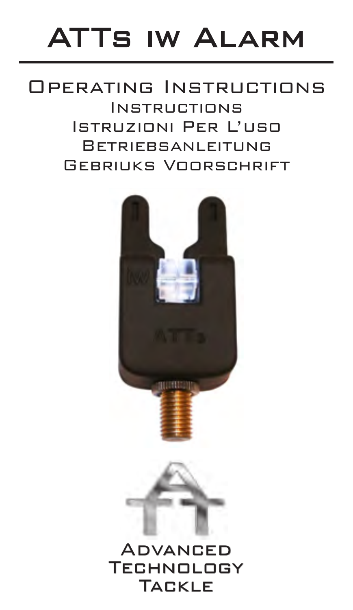# ATTs iw Alarm

## Operating Instructions

Instructions Istruzioni Per L'uso **BETRIEBSANLEITUNG** GEBRIUKS VOORSCHRIFT



**ADVANCED** Technology Tackle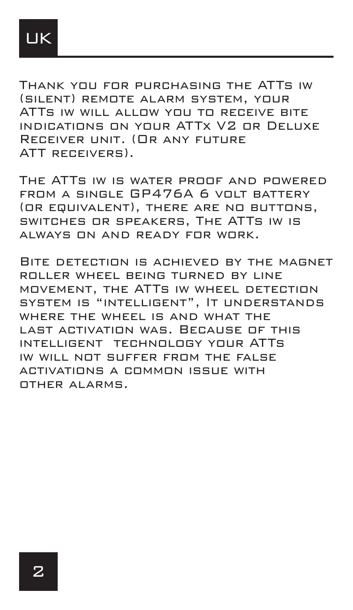Thank you for purchasing the ATTs iw (silent) remote alarm system, your ATTs iw will allow you to receive bite indications on your ATTx V2 or Deluxe Receiver unit. (Or any future ATT PECEIVERS).

THE ATTS IW IS WATER PROOF AND POWERED FROM A SINGLE GP476A 6 VOLT BATTERY (or equivalent), there are no buttons, switches or speakers, The ATTs iw is always on and ready for work.

Bite detection is achieved by the magnet roller wheel being turned by line movement, the ATTs iw wheel detection system is "intelligent", It understands where the wheel is and what the last activation was. Because of this intelligent technology your ATTs IW WILL NOT SUFFER FROM THE FALSE activations a common issue with other alarms.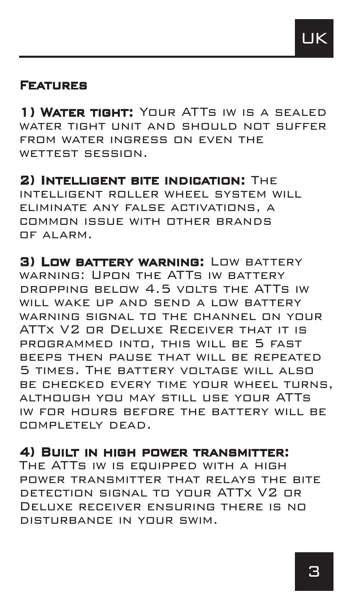UK

### Features

1) WATER TIGHT: YOUR ATTS IW IS A SEALED WATER TIGHT UNIT AND SHOULD NOT SUFFER FROM WATER INGRESS ON EVEN THE wettest session.

**2) INTELLIGENT BITE INDICATION:** THE<br>INTELLIGENT ROLLER WHEEL SYSTEM WILL

eliminate any false activations, a common issue with other brands of alarm.

**3) LOW BATTERY WARNING:** LOW BATTERY WARNING: UPON THE ATTS IW BATTERY dropping below 4.5 volts the ATTs iw WILL WAKE UP AND SEND A LOW BATTERY WARNING SIGNAL TO THE CHANNEL ON YOUR ATTx V2 or Deluxe Receiver that it is programmed into, this will be 5 fast beeps then pause that will be repeated 5 times. The battery voltage will also be checked every time your wheel turns, although you may still use your ATTs iw for hours before the battery will be completely dead.

## 4) Built in high power transmitter:<br>The ATTs iw is equipped with a high

power transmitter that relays the bite detection signal to your ATTx V2 or DELUXE RECEIVER ENSURING THERE IS NO DISTURBANCE IN YOUR SWIM.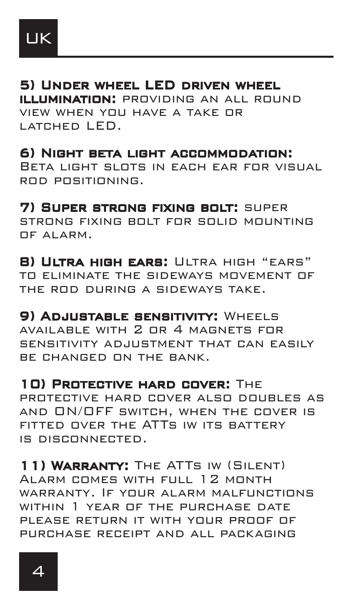5) UNDER WHEEL LED DRIVEN WHEEL<br>**ILLUMINATION:** PROVIDING AN ALL ROUND<br>VIEW WHEN YOU HAVE A TAKE OR latched LED.

# 6) Night beta light accommodation:<br>Beta light slots in each ear for visual

rod positioning.

## 7) Super strong fixing bolt: super strong fixing bolt for solid mounting

of alarm.

8) ULTRA HIGH EARS: ULTRA HIGH "EARS"<br>To eliminate the sideways movement of the rod during a sideways take.

# 9) ADJUSTABLE SENSITIVITY: WHEELS<br>AVAILABLE WITH 2 OR 4 MAGNETS FOR

SENSITIVITY ADJUSTMENT THAT CAN EASILY BE CHANGED ON THE BANK.

10) **Protective hard cover:** The<br>protective hard cover also doubles as and ON/OFF switch, when the cover is fitted over the ATTs iw its battery is disconnected.

# 11) WARRANTY: THE ATTS IW (SILENT)<br>ALARM COMES WITH FULL 12 MONTH

WARRANTY. IF YOUR ALARM MALFUNCTIONS within 1 year of the purchase date please petupa it with your proof of purchase receipt and all packaging

4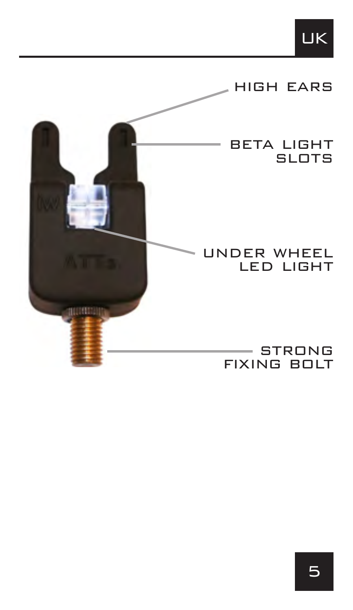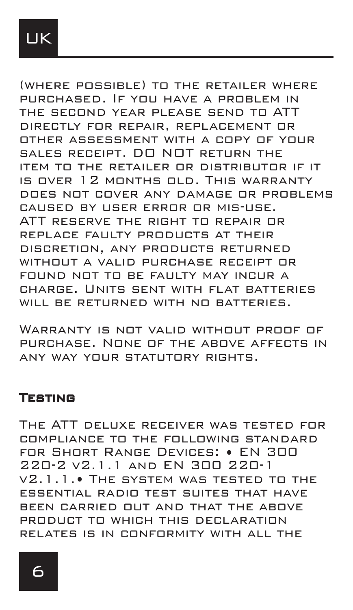(where possible) to the retailer where purchased. If you have a problem in the second year please send to ATT directly for repair, replacement or other assessment with a copy of your SALES RECEIPT. DO NOT RETURN THE item to the retailer or distributor if it is over 12 months old. This warranty does not cover any damage or problems caused by user error or mis-use. ATT reserve the right to repair or replace faulty products at their discretion, any products returned WITHOUT A VALID PURCHASE RECEIPT OR found not to be faulty may incur a charge. Units sent with flat batteries WILL BE RETURNED WITH NO BATTERIES.

Warranty is not valid without proof of purchase. None of the above affects in any way your statutory rights.

### **TESTING**

THE ATT DELUXE RECEIVER WAS TESTED FOR compliance to the following standard for Short Range Devices: • EN 300 220-2 v2.1.1 and EN 300 220-1 v2.1.1.• The system was tested to the essential radio test suites that have been carried out and that the above product to which this declaration relates is in conformity with all the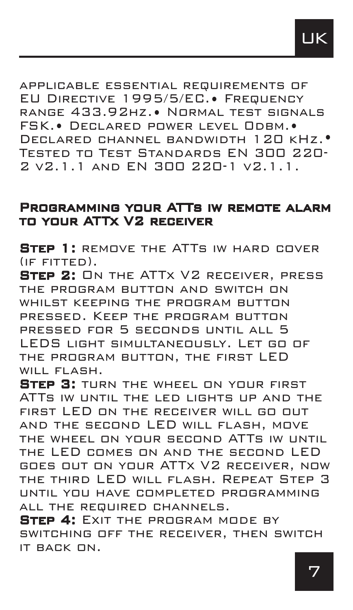UK

applicable essential requirements of EU DIECTIVE 1995/FREQUENCY RANGE 433.92HZ.• NORMAL TEST SIGNALS<br>FSK.• Declared power level Odbm.•<br>Declared channel bandwidth 120 kHz.• Tested to Test Standards EN 300 220- 2 v2.1.1 and EN 300 220-1 v2.1.1.

## Programming your ATTs iw remote alarm to your ATTx V2 receiver

**STEP 1:** REMOVE THE ATTS IW HARD COVER<br>(if fitted).

**STEP 2:** ON THE ATTX V2 RECEIVER, PRESS THE PROGRAM BUTTON AND SWITCH ON WHILST KEEPING THE PROGRAM BUTTON pressed. Keep the program button pressed for 5 seconds until all 5 LEDS light simultaneously. Let go of the program button, the first LED WILL FLASH.<br>**STEP 3:** TURN THE WHEEL ON YOUR FIRST

ATTS IW UNTIL THE LED LIGHTS UP AND THE first LED on the receiver will go out and the second LED will flash, move the wheel on your second ATTs iw until the LED comes on and the second LED goes out on your ATTx V2 receiver, now the third LED will flash. Repeat Step 3 until you have completed programming ALL THE REQUIRED CHANNELS.<br>**STEP 4:** EXIT THE PROGRAM MODE BY

SWITCHING OFF THE RECEIVER, THEN SWITCH it back on.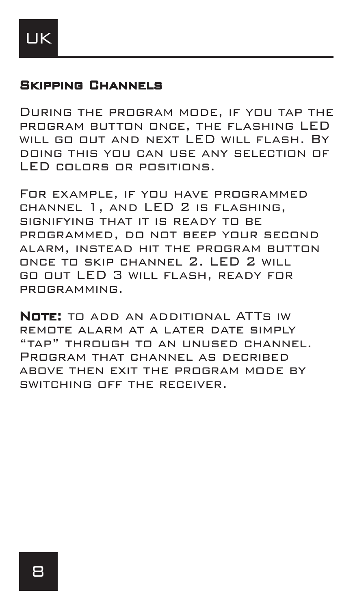### Skipping Channels

During the program mode, if you tap the program button once, the flashing LED will go out and next LED will flash. By doing this you can use any selection of LED colors or positions.

For example, if you have programmed channel 1, and LED 2 is flashing, signifying that it is ready to be programmed, do not beep your second alarm, instead hit the program button once to skip channel 2. LED 2 will go out LED 3 will flash, ready for programming.

**NOTE:** TO ADD AN ADDITIONAL ATTS IW<br>REMOTE ALARM AT A LATER DATE SIMPLY "tap" through to an unused channel. PROGRAM THAT CHANNEL AS DECRIBED above then exit the program mode by switching off the receiver.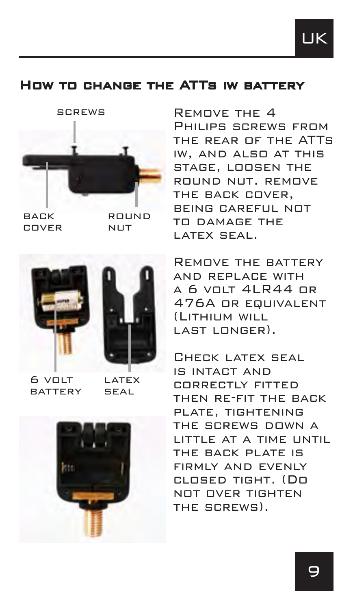## How to change the ATTs iw battery

screws



BACK<br>COVER

6 volt **6 VOLT** LATEX seal

**ROUND** nut

Remove the 4 Philips screws from the rear of the ATTs iw, and also at this stage, loosen the *<u>DOUND NUT.</u>* DEMOVE the back cover, being careful not to damage the latex seal.

UK

Remove the battery AND REPLACE WITH  $A$  6 volt 4LR44 or 476A or equivalent (Lithium will last longer).

Check latex seal is intact and correctly fitted then re-fit the back plate, tightening the screws down a little at a time until the back plate is firmly and evenly closed tight. (Do not over tighten the screws).



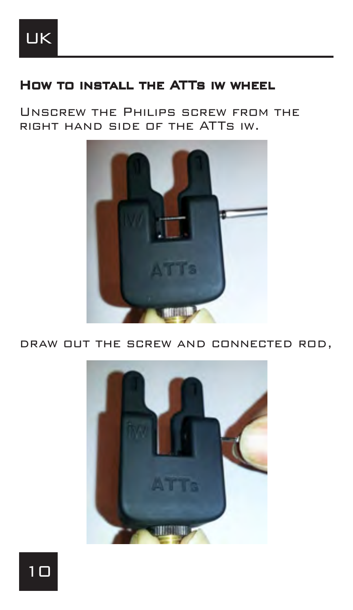## How to install the ATTs iw wheel

 Unscrew the Philips screw from the right hand side of the ATTs iw.



draw out the screw and connected rod,